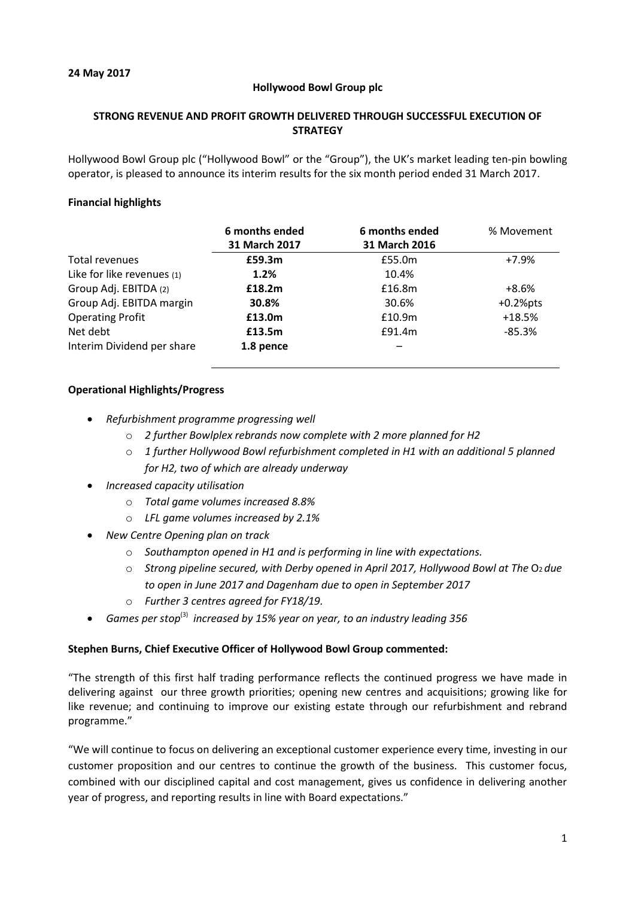## **Hollywood Bowl Group plc**

## **STRONG REVENUE AND PROFIT GROWTH DELIVERED THROUGH SUCCESSFUL EXECUTION OF STRATEGY**

Hollywood Bowl Group plc ("Hollywood Bowl" or the "Group"), the UK's market leading ten-pin bowling operator, is pleased to announce its interim results for the six month period ended 31 March 2017.

## **Financial highlights**

|                            | 6 months ended<br>31 March 2017 | 6 months ended<br>31 March 2016 | % Movement  |
|----------------------------|---------------------------------|---------------------------------|-------------|
| Total revenues             | £59.3m                          | £55.0m                          | $+7.9%$     |
| Like for like revenues (1) | 1.2%                            | 10.4%                           |             |
| Group Adj. EBITDA (2)      | £18.2m                          | £16.8m                          | $+8.6%$     |
| Group Adj. EBITDA margin   | 30.8%                           | 30.6%                           | $+0.2%$ pts |
| <b>Operating Profit</b>    | £13.0m                          | £10.9m                          | $+18.5%$    |
| Net debt                   | £13.5m                          | £91.4m                          | $-85.3%$    |
| Interim Dividend per share | 1.8 pence                       |                                 |             |

## **Operational Highlights/Progress**

- *Refurbishment programme progressing well*
	- o *2 further Bowlplex rebrands now complete with 2 more planned for H2*
	- o *1 further Hollywood Bowl refurbishment completed in H1 with an additional 5 planned for H2, two of which are already underway*
- *Increased capacity utilisation*
	- o *Total game volumes increased 8.8%*
	- o *LFL game volumes increased by 2.1%*
- *New Centre Opening plan on track*
	- o *Southampton opened in H1 and is performing in line with expectations.*
	- o *Strong pipeline secured, with Derby opened in April 2017, Hollywood Bowl at The* O<sup>2</sup> *due to open in June 2017 and Dagenham due to open in September 2017*
	- o *Further 3 centres agreed for FY18/19.*
- *Games per stop*(3) *increased by 15% year on year, to an industry leading 356*

## **Stephen Burns, Chief Executive Officer of Hollywood Bowl Group commented:**

"The strength of this first half trading performance reflects the continued progress we have made in delivering against our three growth priorities; opening new centres and acquisitions; growing like for like revenue; and continuing to improve our existing estate through our refurbishment and rebrand programme."

"We will continue to focus on delivering an exceptional customer experience every time, investing in our customer proposition and our centres to continue the growth of the business. This customer focus, combined with our disciplined capital and cost management, gives us confidence in delivering another year of progress, and reporting results in line with Board expectations."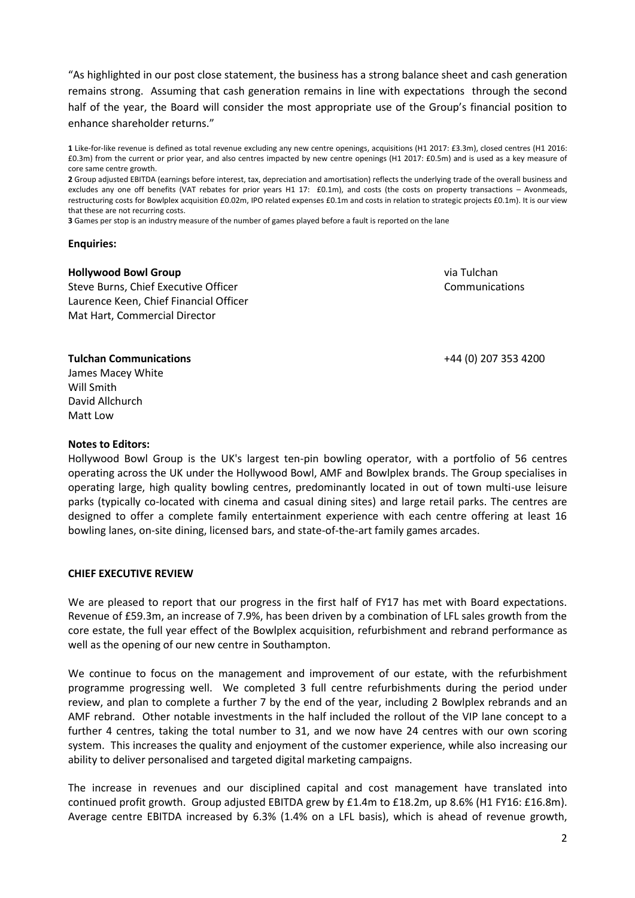"As highlighted in our post close statement, the business has a strong balance sheet and cash generation remains strong. Assuming that cash generation remains in line with expectations through the second half of the year, the Board will consider the most appropriate use of the Group's financial position to enhance shareholder returns."

**2** Group adjusted EBITDA (earnings before interest, tax, depreciation and amortisation) reflects the underlying trade of the overall business and excludes any one off benefits (VAT rebates for prior years H1 17: £0.1m), and costs (the costs on property transactions - Avonmeads, restructuring costs for Bowlplex acquisition £0.02m, IPO related expenses £0.1m and costs in relation to strategic projects £0.1m). It is our view that these are not recurring costs.

**3** Games per stop is an industry measure of the number of games played before a fault is reported on the lane

#### **Enquiries:**

#### **Hollywood Bowl Group**

Steve Burns, Chief Executive Officer Laurence Keen, Chief Financial Officer Mat Hart, Commercial Director

via Tulchan Communications

+44 (0) 207 353 4200

#### **Tulchan Communications** James Macey White

Will Smith David Allchurch Matt Low

#### **Notes to Editors:**

Hollywood Bowl Group is the UK's largest ten-pin bowling operator, with a portfolio of 56 centres operating across the UK under the Hollywood Bowl, AMF and Bowlplex brands. The Group specialises in operating large, high quality bowling centres, predominantly located in out of town multi-use leisure parks (typically co-located with cinema and casual dining sites) and large retail parks. The centres are designed to offer a complete family entertainment experience with each centre offering at least 16 bowling lanes, on-site dining, licensed bars, and state-of-the-art family games arcades.

## **CHIEF EXECUTIVE REVIEW**

We are pleased to report that our progress in the first half of FY17 has met with Board expectations. Revenue of £59.3m, an increase of 7.9%, has been driven by a combination of LFL sales growth from the core estate, the full year effect of the Bowlplex acquisition, refurbishment and rebrand performance as well as the opening of our new centre in Southampton.

We continue to focus on the management and improvement of our estate, with the refurbishment programme progressing well. We completed 3 full centre refurbishments during the period under review, and plan to complete a further 7 by the end of the year, including 2 Bowlplex rebrands and an AMF rebrand. Other notable investments in the half included the rollout of the VIP lane concept to a further 4 centres, taking the total number to 31, and we now have 24 centres with our own scoring system. This increases the quality and enjoyment of the customer experience, while also increasing our ability to deliver personalised and targeted digital marketing campaigns.

The increase in revenues and our disciplined capital and cost management have translated into continued profit growth. Group adjusted EBITDA grew by £1.4m to £18.2m, up 8.6% (H1 FY16: £16.8m). Average centre EBITDA increased by 6.3% (1.4% on a LFL basis), which is ahead of revenue growth,

**<sup>1</sup>** Like-for-like revenue is defined as total revenue excluding any new centre openings, acquisitions (H1 2017: £3.3m), closed centres (H1 2016: £0.3m) from the current or prior year, and also centres impacted by new centre openings (H1 2017: £0.5m) and is used as a key measure of core same centre growth.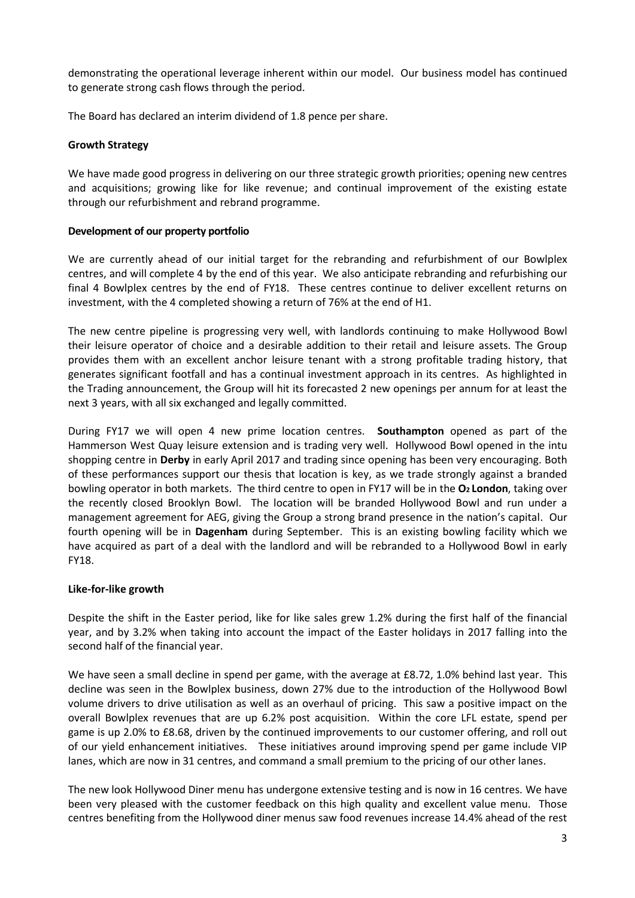demonstrating the operational leverage inherent within our model. Our business model has continued to generate strong cash flows through the period.

The Board has declared an interim dividend of 1.8 pence per share.

## **Growth Strategy**

We have made good progress in delivering on our three strategic growth priorities; opening new centres and acquisitions; growing like for like revenue; and continual improvement of the existing estate through our refurbishment and rebrand programme.

## **Development of our property portfolio**

We are currently ahead of our initial target for the rebranding and refurbishment of our Bowlplex centres, and will complete 4 by the end of this year. We also anticipate rebranding and refurbishing our final 4 Bowlplex centres by the end of FY18. These centres continue to deliver excellent returns on investment, with the 4 completed showing a return of 76% at the end of H1.

The new centre pipeline is progressing very well, with landlords continuing to make Hollywood Bowl their leisure operator of choice and a desirable addition to their retail and leisure assets. The Group provides them with an excellent anchor leisure tenant with a strong profitable trading history, that generates significant footfall and has a continual investment approach in its centres. As highlighted in the Trading announcement, the Group will hit its forecasted 2 new openings per annum for at least the next 3 years, with all six exchanged and legally committed.

During FY17 we will open 4 new prime location centres. **Southampton** opened as part of the Hammerson West Quay leisure extension and is trading very well. Hollywood Bowl opened in the intu shopping centre in **Derby** in early April 2017 and trading since opening has been very encouraging. Both of these performances support our thesis that location is key, as we trade strongly against a branded bowling operator in both markets. The third centre to open in FY17 will be in the **O2 London**, taking over the recently closed Brooklyn Bowl. The location will be branded Hollywood Bowl and run under a management agreement for AEG, giving the Group a strong brand presence in the nation's capital. Our fourth opening will be in **Dagenham** during September. This is an existing bowling facility which we have acquired as part of a deal with the landlord and will be rebranded to a Hollywood Bowl in early FY18.

# **Like-for-like growth**

Despite the shift in the Easter period, like for like sales grew 1.2% during the first half of the financial year, and by 3.2% when taking into account the impact of the Easter holidays in 2017 falling into the second half of the financial year.

We have seen a small decline in spend per game, with the average at £8.72, 1.0% behind last year. This decline was seen in the Bowlplex business, down 27% due to the introduction of the Hollywood Bowl volume drivers to drive utilisation as well as an overhaul of pricing. This saw a positive impact on the overall Bowlplex revenues that are up 6.2% post acquisition. Within the core LFL estate, spend per game is up 2.0% to £8.68, driven by the continued improvements to our customer offering, and roll out of our yield enhancement initiatives. These initiatives around improving spend per game include VIP lanes, which are now in 31 centres, and command a small premium to the pricing of our other lanes.

The new look Hollywood Diner menu has undergone extensive testing and is now in 16 centres. We have been very pleased with the customer feedback on this high quality and excellent value menu. Those centres benefiting from the Hollywood diner menus saw food revenues increase 14.4% ahead of the rest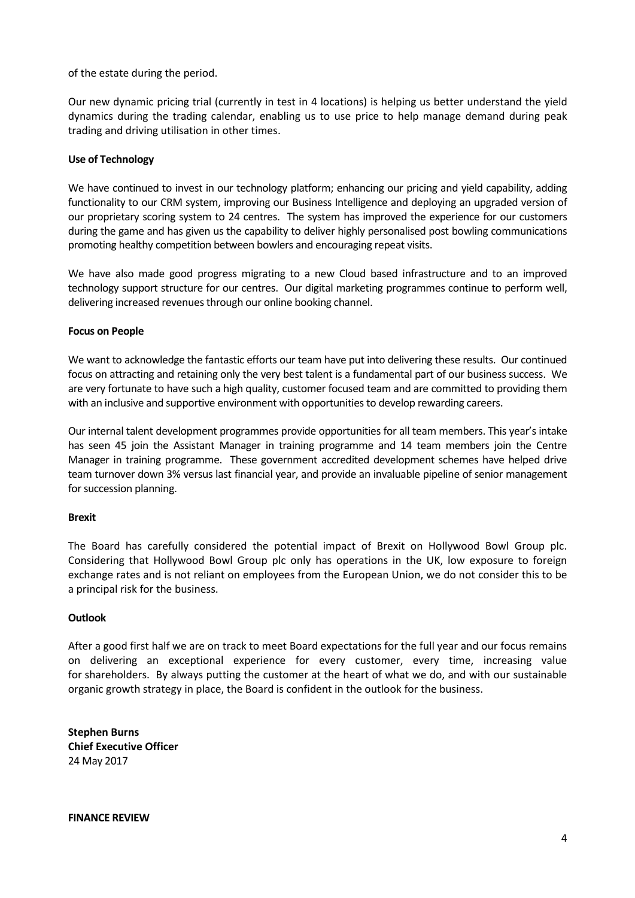of the estate during the period.

Our new dynamic pricing trial (currently in test in 4 locations) is helping us better understand the yield dynamics during the trading calendar, enabling us to use price to help manage demand during peak trading and driving utilisation in other times.

## **Use of Technology**

We have continued to invest in our technology platform; enhancing our pricing and yield capability, adding functionality to our CRM system, improving our Business Intelligence and deploying an upgraded version of our proprietary scoring system to 24 centres. The system has improved the experience for our customers during the game and has given us the capability to deliver highly personalised post bowling communications promoting healthy competition between bowlers and encouraging repeat visits.

We have also made good progress migrating to a new Cloud based infrastructure and to an improved technology support structure for our centres. Our digital marketing programmes continue to perform well, delivering increased revenues through our online booking channel.

## **Focus on People**

We want to acknowledge the fantastic efforts our team have put into delivering these results. Our continued focus on attracting and retaining only the very best talent is a fundamental part of our business success. We are very fortunate to have such a high quality, customer focused team and are committed to providing them with an inclusive and supportive environment with opportunities to develop rewarding careers.

Our internal talent development programmes provide opportunities for all team members. This year's intake has seen 45 join the Assistant Manager in training programme and 14 team members join the Centre Manager in training programme. These government accredited development schemes have helped drive team turnover down 3% versus last financial year, and provide an invaluable pipeline of senior management for succession planning.

## **Brexit**

The Board has carefully considered the potential impact of Brexit on Hollywood Bowl Group plc. Considering that Hollywood Bowl Group plc only has operations in the UK, low exposure to foreign exchange rates and is not reliant on employees from the European Union, we do not consider this to be a principal risk for the business.

## **Outlook**

After a good first half we are on track to meet Board expectations for the full year and our focus remains on delivering an exceptional experience for every customer, every time, increasing value for shareholders. By always putting the customer at the heart of what we do, and with our sustainable organic growth strategy in place, the Board is confident in the outlook for the business.

**Stephen Burns Chief Executive Officer** 24 May 2017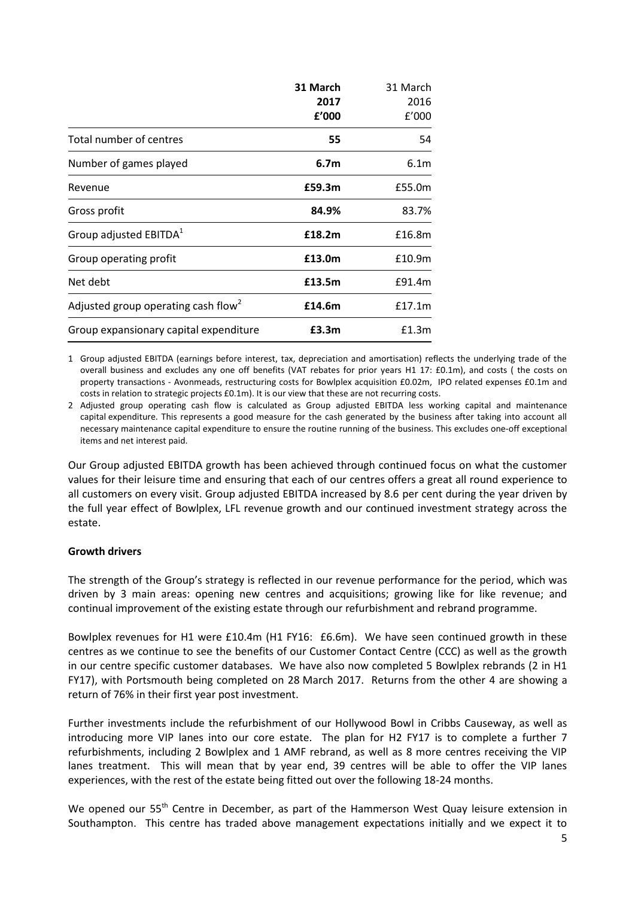|                                                 | 31 March         | 31 March         |
|-------------------------------------------------|------------------|------------------|
|                                                 | 2017             | 2016             |
|                                                 | £'000            | f'000            |
| Total number of centres                         | 55               | 54               |
| Number of games played                          | 6.7 <sub>m</sub> | 6.1 <sub>m</sub> |
| Revenue                                         | £59.3m           | £55.0m           |
| Gross profit                                    | 84.9%            | 83.7%            |
| Group adjusted EBITDA <sup>1</sup>              | £18.2m           | £16.8m           |
| Group operating profit                          | £13.0m           | £10.9m           |
| Net debt                                        | £13.5m           | £91.4m           |
| Adjusted group operating cash flow <sup>2</sup> | £14.6m           | £17.1m           |
| Group expansionary capital expenditure          | £3.3m            | £1.3m            |

1 Group adjusted EBITDA (earnings before interest, tax, depreciation and amortisation) reflects the underlying trade of the overall business and excludes any one off benefits (VAT rebates for prior years H1 17: £0.1m), and costs ( the costs on property transactions - Avonmeads, restructuring costs for Bowlplex acquisition £0.02m, IPO related expenses £0.1m and costs in relation to strategic projects £0.1m). It is our view that these are not recurring costs.

2 Adjusted group operating cash flow is calculated as Group adjusted EBITDA less working capital and maintenance capital expenditure. This represents a good measure for the cash generated by the business after taking into account all necessary maintenance capital expenditure to ensure the routine running of the business. This excludes one-off exceptional items and net interest paid.

Our Group adjusted EBITDA growth has been achieved through continued focus on what the customer values for their leisure time and ensuring that each of our centres offers a great all round experience to all customers on every visit. Group adjusted EBITDA increased by 8.6 per cent during the year driven by the full year effect of Bowlplex, LFL revenue growth and our continued investment strategy across the estate.

# **Growth drivers**

The strength of the Group's strategy is reflected in our revenue performance for the period, which was driven by 3 main areas: opening new centres and acquisitions; growing like for like revenue; and continual improvement of the existing estate through our refurbishment and rebrand programme.

Bowlplex revenues for H1 were £10.4m (H1 FY16: £6.6m). We have seen continued growth in these centres as we continue to see the benefits of our Customer Contact Centre (CCC) as well as the growth in our centre specific customer databases. We have also now completed 5 Bowlplex rebrands (2 in H1 FY17), with Portsmouth being completed on 28 March 2017. Returns from the other 4 are showing a return of 76% in their first year post investment.

Further investments include the refurbishment of our Hollywood Bowl in Cribbs Causeway, as well as introducing more VIP lanes into our core estate. The plan for H2 FY17 is to complete a further 7 refurbishments, including 2 Bowlplex and 1 AMF rebrand, as well as 8 more centres receiving the VIP lanes treatment. This will mean that by year end, 39 centres will be able to offer the VIP lanes experiences, with the rest of the estate being fitted out over the following 18-24 months.

We opened our 55<sup>th</sup> Centre in December, as part of the Hammerson West Quay leisure extension in Southampton. This centre has traded above management expectations initially and we expect it to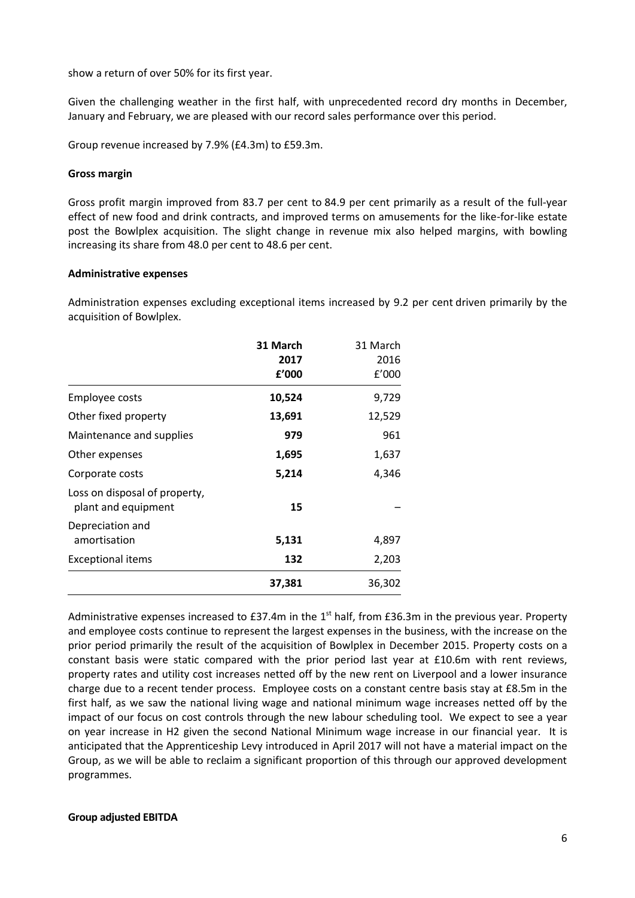show a return of over 50% for its first year.

Given the challenging weather in the first half, with unprecedented record dry months in December, January and February, we are pleased with our record sales performance over this period.

Group revenue increased by 7.9% (£4.3m) to £59.3m.

### **Gross margin**

Gross profit margin improved from 83.7 per cent to 84.9 per cent primarily as a result of the full-year effect of new food and drink contracts, and improved terms on amusements for the like-for-like estate post the Bowlplex acquisition. The slight change in revenue mix also helped margins, with bowling increasing its share from 48.0 per cent to 48.6 per cent.

### **Administrative expenses**

Administration expenses excluding exceptional items increased by 9.2 per cent driven primarily by the acquisition of Bowlplex.

|                                                      | 31 March<br>2017<br>£'000 | 31 March<br>2016<br>f'000 |
|------------------------------------------------------|---------------------------|---------------------------|
| Employee costs                                       | 10,524                    | 9,729                     |
| Other fixed property                                 | 13,691                    | 12,529                    |
| Maintenance and supplies                             | 979                       | 961                       |
| Other expenses                                       | 1,695                     | 1,637                     |
| Corporate costs                                      | 5,214                     | 4,346                     |
| Loss on disposal of property,<br>plant and equipment | 15                        |                           |
| Depreciation and<br>amortisation                     | 5,131                     | 4,897                     |
| <b>Exceptional items</b>                             | 132                       | 2,203                     |
|                                                      | 37,381                    | 36,302                    |

Administrative expenses increased to £37.4m in the 1<sup>st</sup> half, from £36.3m in the previous year. Property and employee costs continue to represent the largest expenses in the business, with the increase on the prior period primarily the result of the acquisition of Bowlplex in December 2015. Property costs on a constant basis were static compared with the prior period last year at £10.6m with rent reviews, property rates and utility cost increases netted off by the new rent on Liverpool and a lower insurance charge due to a recent tender process. Employee costs on a constant centre basis stay at £8.5m in the first half, as we saw the national living wage and national minimum wage increases netted off by the impact of our focus on cost controls through the new labour scheduling tool. We expect to see a year on year increase in H2 given the second National Minimum wage increase in our financial year. It is anticipated that the Apprenticeship Levy introduced in April 2017 will not have a material impact on the Group, as we will be able to reclaim a significant proportion of this through our approved development programmes.

## **Group adjusted EBITDA**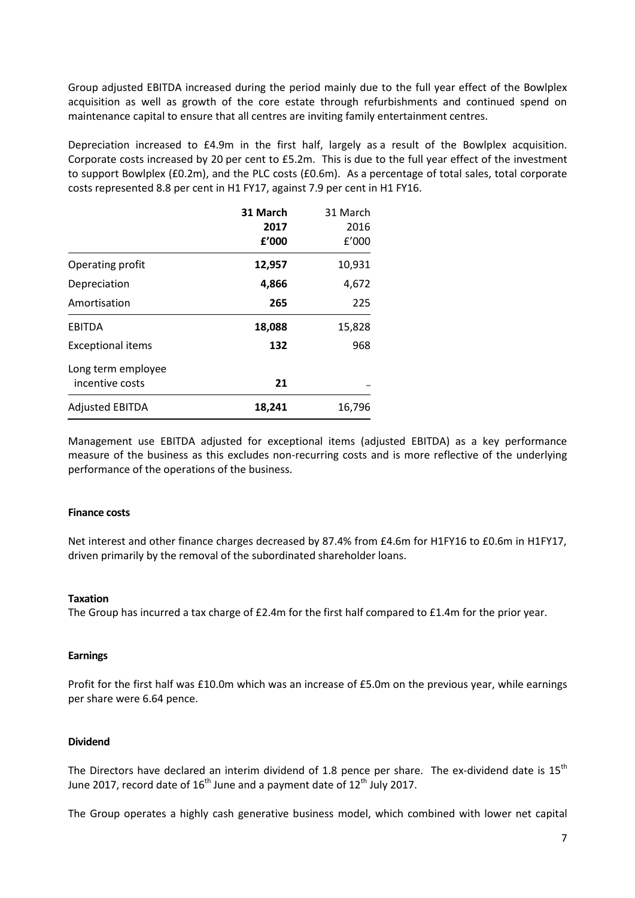Group adjusted EBITDA increased during the period mainly due to the full year effect of the Bowlplex acquisition as well as growth of the core estate through refurbishments and continued spend on maintenance capital to ensure that all centres are inviting family entertainment centres.

Depreciation increased to £4.9m in the first half, largely as a result of the Bowlplex acquisition. Corporate costs increased by 20 per cent to £5.2m. This is due to the full year effect of the investment to support Bowlplex (£0.2m), and the PLC costs (£0.6m). As a percentage of total sales, total corporate costs represented 8.8 per cent in H1 FY17, against 7.9 per cent in H1 FY16.

|                          | 31 March | 31 March |
|--------------------------|----------|----------|
|                          | 2017     | 2016     |
|                          | f'000    | f'000    |
| Operating profit         | 12,957   | 10,931   |
| Depreciation             | 4,866    | 4,672    |
| Amortisation             | 265      | 225      |
| <b>EBITDA</b>            | 18,088   | 15,828   |
| <b>Exceptional items</b> | 132      | 968      |
| Long term employee       |          |          |
| incentive costs          | 21       |          |
| <b>Adjusted EBITDA</b>   | 18,241   | 16,796   |

Management use EBITDA adjusted for exceptional items (adjusted EBITDA) as a key performance measure of the business as this excludes non-recurring costs and is more reflective of the underlying performance of the operations of the business.

## **Finance costs**

Net interest and other finance charges decreased by 87.4% from £4.6m for H1FY16 to £0.6m in H1FY17, driven primarily by the removal of the subordinated shareholder loans.

## **Taxation**

The Group has incurred a tax charge of £2.4m for the first half compared to £1.4m for the prior year.

## **Earnings**

Profit for the first half was £10.0m which was an increase of £5.0m on the previous year, while earnings per share were 6.64 pence.

## **Dividend**

The Directors have declared an interim dividend of 1.8 pence per share. The ex-dividend date is  $15<sup>th</sup>$ June 2017, record date of  $16^{th}$  June and a payment date of  $12^{th}$  July 2017.

The Group operates a highly cash generative business model, which combined with lower net capital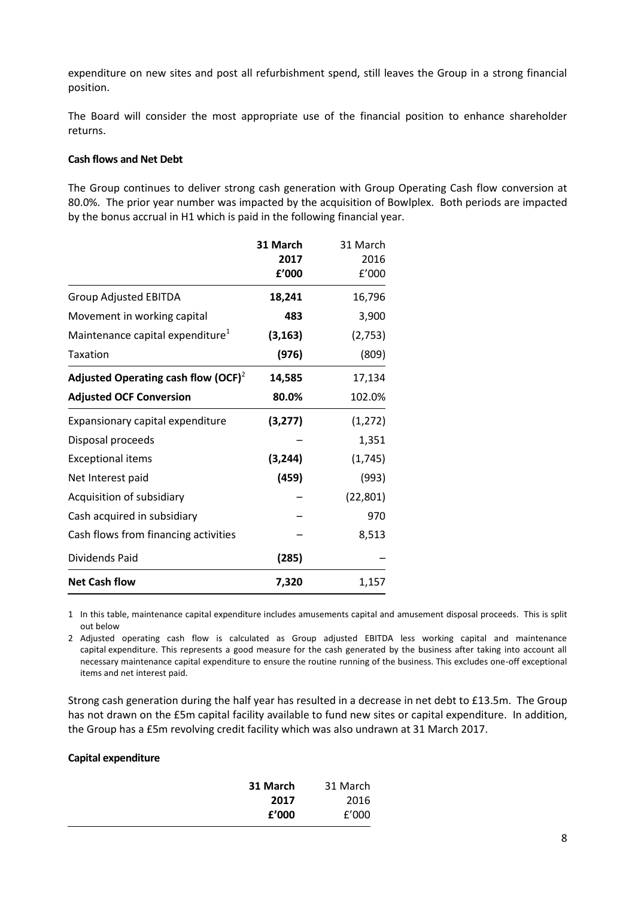expenditure on new sites and post all refurbishment spend, still leaves the Group in a strong financial position.

The Board will consider the most appropriate use of the financial position to enhance shareholder returns.

## **Cash flows and Net Debt**

The Group continues to deliver strong cash generation with Group Operating Cash flow conversion at 80.0%. The prior year number was impacted by the acquisition of Bowlplex. Both periods are impacted by the bonus accrual in H1 which is paid in the following financial year.

|                                              | 31 March<br>2017<br>f'000 | 31 March<br>2016<br>f'000 |
|----------------------------------------------|---------------------------|---------------------------|
| <b>Group Adjusted EBITDA</b>                 | 18,241                    | 16,796                    |
| Movement in working capital                  | 483                       | 3,900                     |
| Maintenance capital expenditure <sup>1</sup> | (3, 163)                  | (2,753)                   |
| <b>Taxation</b>                              | (976)                     | (809)                     |
| Adjusted Operating cash flow (OCF) $^2$      | 14,585                    | 17,134                    |
| <b>Adjusted OCF Conversion</b>               | 80.0%                     | 102.0%                    |
| Expansionary capital expenditure             | (3,277)                   | (1, 272)                  |
| Disposal proceeds                            |                           | 1,351                     |
| <b>Exceptional items</b>                     | (3, 244)                  | (1,745)                   |
| Net Interest paid                            | (459)                     | (993)                     |
| Acquisition of subsidiary                    |                           | (22, 801)                 |
| Cash acquired in subsidiary                  |                           | 970                       |
| Cash flows from financing activities         |                           | 8,513                     |
| Dividends Paid                               | (285)                     |                           |
| <b>Net Cash flow</b>                         | 7,320                     | 1,157                     |

1 In this table, maintenance capital expenditure includes amusements capital and amusement disposal proceeds. This is split out below

2 Adjusted operating cash flow is calculated as Group adjusted EBITDA less working capital and maintenance capital expenditure. This represents a good measure for the cash generated by the business after taking into account all necessary maintenance capital expenditure to ensure the routine running of the business. This excludes one-off exceptional items and net interest paid.

Strong cash generation during the half year has resulted in a decrease in net debt to £13.5m. The Group has not drawn on the £5m capital facility available to fund new sites or capital expenditure. In addition, the Group has a £5m revolving credit facility which was also undrawn at 31 March 2017.

## **Capital expenditure**

| 31 March | 31 March |
|----------|----------|
| 2017     | 2016     |
| f'000    | f'000    |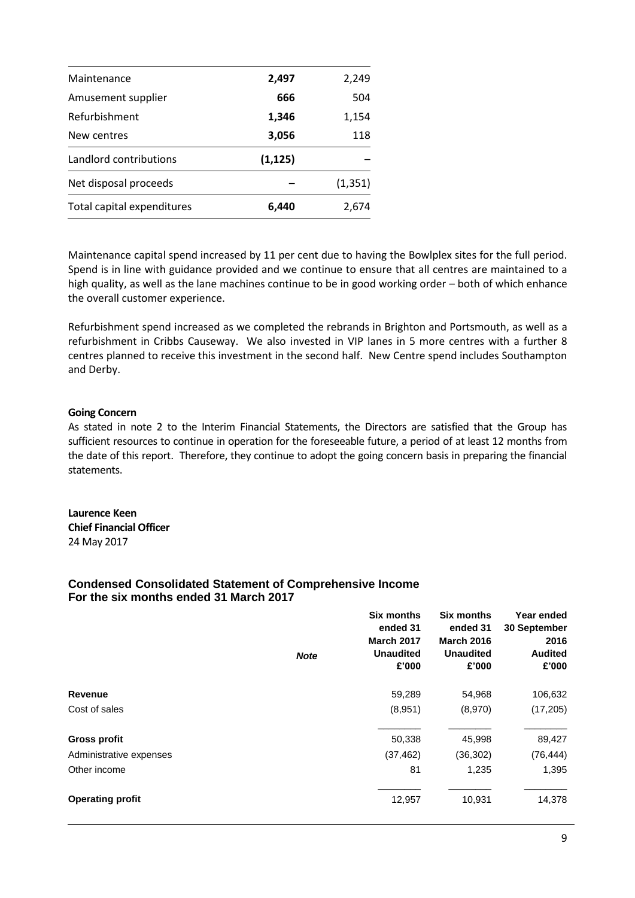| Maintenance                | 2,497    | 2,249    |
|----------------------------|----------|----------|
| Amusement supplier         | 666      | 504      |
| Refurbishment              | 1,346    | 1,154    |
| New centres                | 3,056    | 118      |
| Landlord contributions     | (1, 125) |          |
| Net disposal proceeds      |          | (1, 351) |
| Total capital expenditures | 6,440    | 2.674    |

Maintenance capital spend increased by 11 per cent due to having the Bowlplex sites for the full period. Spend is in line with guidance provided and we continue to ensure that all centres are maintained to a high quality, as well as the lane machines continue to be in good working order – both of which enhance the overall customer experience.

Refurbishment spend increased as we completed the rebrands in Brighton and Portsmouth, as well as a refurbishment in Cribbs Causeway. We also invested in VIP lanes in 5 more centres with a further 8 centres planned to receive this investment in the second half. New Centre spend includes Southampton and Derby.

## **Going Concern**

As stated in note 2 to the Interim Financial Statements, the Directors are satisfied that the Group has sufficient resources to continue in operation for the foreseeable future, a period of at least 12 months from the date of this report. Therefore, they continue to adopt the going concern basis in preparing the financial statements.

**Laurence Keen Chief Financial Officer** 24 May 2017

## **Condensed Consolidated Statement of Comprehensive Income For the six months ended 31 March 2017**

|                         | <b>Note</b> | <b>Six months</b><br>ended 31<br><b>March 2017</b><br><b>Unaudited</b><br>£'000 | <b>Six months</b><br>ended 31<br><b>March 2016</b><br><b>Unaudited</b><br>£'000 | Year ended<br>30 September<br>2016<br><b>Audited</b><br>£'000 |
|-------------------------|-------------|---------------------------------------------------------------------------------|---------------------------------------------------------------------------------|---------------------------------------------------------------|
| <b>Revenue</b>          |             | 59,289                                                                          | 54,968                                                                          | 106,632                                                       |
| Cost of sales           |             | (8,951)                                                                         | (8,970)                                                                         | (17, 205)                                                     |
| <b>Gross profit</b>     |             | 50,338                                                                          | 45,998                                                                          | 89,427                                                        |
| Administrative expenses |             | (37, 462)                                                                       | (36, 302)                                                                       | (76, 444)                                                     |
| Other income            |             | 81                                                                              | 1,235                                                                           | 1,395                                                         |
| <b>Operating profit</b> |             | 12,957                                                                          | 10,931                                                                          | 14,378                                                        |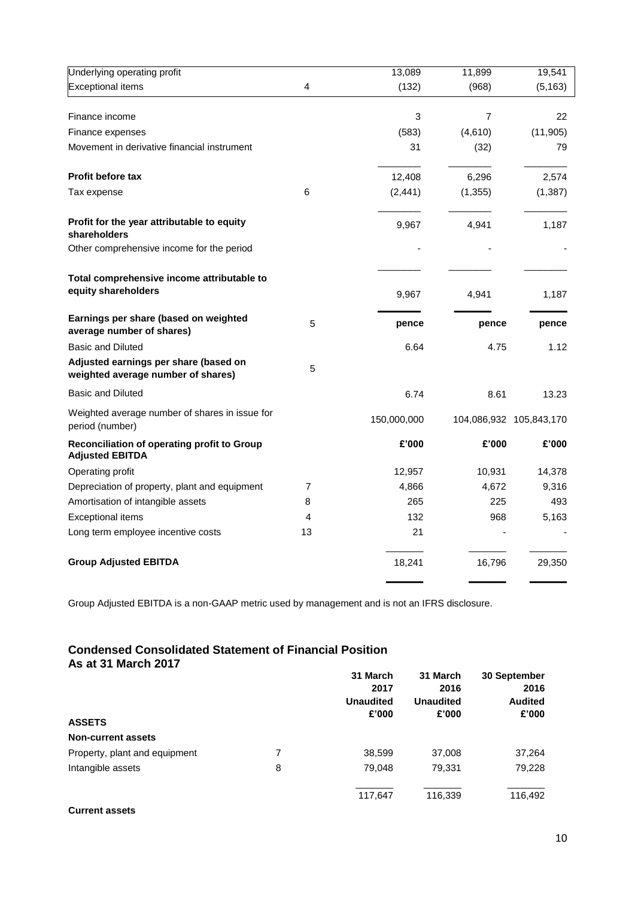| Underlying operating profit                                                 |    | 13,089      | 11,899         | 19,541                  |
|-----------------------------------------------------------------------------|----|-------------|----------------|-------------------------|
| <b>Exceptional items</b>                                                    | 4  | (132)       | (968)          | (5, 163)                |
| Finance income                                                              |    | 3           | $\overline{7}$ | 22                      |
| Finance expenses                                                            |    | (583)       | (4,610)        | (11, 905)               |
| Movement in derivative financial instrument                                 |    | 31          | (32)           | 79                      |
| <b>Profit before tax</b>                                                    |    | 12,408      | 6,296          | 2,574                   |
| Tax expense                                                                 | 6  | (2, 441)    | (1, 355)       | (1, 387)                |
| Profit for the year attributable to equity<br>shareholders                  |    | 9,967       | 4,941          | 1,187                   |
| Other comprehensive income for the period                                   |    |             |                |                         |
| Total comprehensive income attributable to<br>equity shareholders           |    | 9,967       | 4,941          | 1,187                   |
| Earnings per share (based on weighted<br>average number of shares)          | 5  | pence       | pence          | pence                   |
| <b>Basic and Diluted</b>                                                    |    | 6.64        | 4.75           | 1.12                    |
| Adjusted earnings per share (based on<br>weighted average number of shares) | 5  |             |                |                         |
| <b>Basic and Diluted</b>                                                    |    | 6.74        | 8.61           | 13.23                   |
| Weighted average number of shares in issue for<br>period (number)           |    | 150,000,000 |                | 104,086,932 105,843,170 |
| Reconciliation of operating profit to Group<br><b>Adjusted EBITDA</b>       |    | £'000       | £'000          | £'000                   |
| Operating profit                                                            |    | 12,957      | 10,931         | 14,378                  |
| Depreciation of property, plant and equipment                               | 7  | 4,866       | 4,672          | 9,316                   |
| Amortisation of intangible assets                                           | 8  | 265         | 225            | 493                     |
| <b>Exceptional items</b>                                                    | 4  | 132         | 968            | 5,163                   |
| Long term employee incentive costs                                          | 13 | 21          |                |                         |
| <b>Group Adjusted EBITDA</b>                                                |    | 18,241      | 16,796         | 29,350                  |

Group Adjusted EBITDA is a non-GAAP metric used by management and is not an IFRS disclosure.<br>

# **was admitted Condensed Consolidated Statement of Financial Position As at 31 March 2017**

|                               |   | 31 March         | 31 March         | 30 September<br>2016 |
|-------------------------------|---|------------------|------------------|----------------------|
|                               |   | 2017             | 2016             |                      |
|                               |   | <b>Unaudited</b> | <b>Unaudited</b> | <b>Audited</b>       |
| <b>ASSETS</b>                 |   | £'000            | £'000            | £'000                |
| <b>Non-current assets</b>     |   |                  |                  |                      |
| Property, plant and equipment | 7 | 38,599           | 37,008           | 37,264               |
| Intangible assets             | 8 | 79,048           | 79.331           | 79,228               |
|                               |   | 117,647          | 116,339          | 116,492              |

## **Current assets**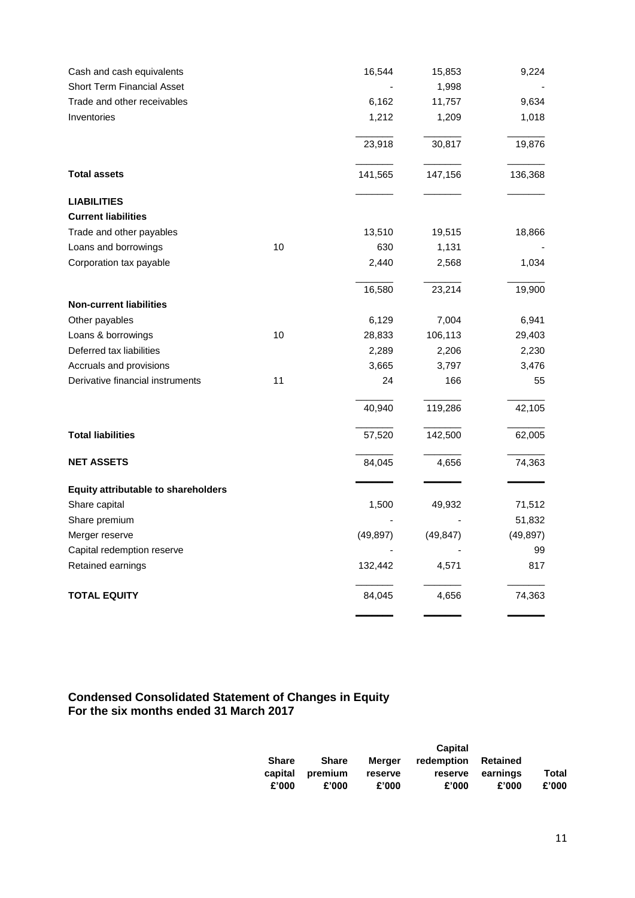| Cash and cash equivalents                  |    | 16,544    | 15,853    | 9,224     |
|--------------------------------------------|----|-----------|-----------|-----------|
| <b>Short Term Financial Asset</b>          |    |           | 1,998     |           |
| Trade and other receivables                |    | 6,162     | 11,757    | 9,634     |
| Inventories                                |    | 1,212     | 1,209     | 1,018     |
|                                            |    | 23,918    | 30,817    | 19,876    |
| <b>Total assets</b>                        |    | 141,565   | 147,156   | 136,368   |
| <b>LIABILITIES</b>                         |    |           |           |           |
| <b>Current liabilities</b>                 |    |           |           |           |
| Trade and other payables                   |    | 13,510    | 19,515    | 18,866    |
| Loans and borrowings                       | 10 | 630       | 1,131     |           |
| Corporation tax payable                    |    | 2,440     | 2,568     | 1,034     |
|                                            |    | 16,580    | 23,214    | 19,900    |
| <b>Non-current liabilities</b>             |    |           |           |           |
| Other payables                             |    | 6,129     | 7,004     | 6,941     |
| Loans & borrowings                         | 10 | 28,833    | 106,113   | 29,403    |
| Deferred tax liabilities                   |    | 2,289     | 2,206     | 2,230     |
| Accruals and provisions                    |    | 3,665     | 3,797     | 3,476     |
| Derivative financial instruments           | 11 | 24        | 166       | 55        |
|                                            |    | 40,940    | 119,286   | 42,105    |
| <b>Total liabilities</b>                   |    | 57,520    | 142,500   | 62,005    |
| <b>NET ASSETS</b>                          |    | 84,045    | 4,656     | 74,363    |
| <b>Equity attributable to shareholders</b> |    |           |           |           |
| Share capital                              |    | 1,500     | 49,932    | 71,512    |
| Share premium                              |    |           |           | 51,832    |
| Merger reserve                             |    | (49, 897) | (49, 847) | (49, 897) |
| Capital redemption reserve                 |    |           |           | 99        |
| Retained earnings                          |    | 132,442   | 4,571     | 817       |
| <b>TOTAL EQUITY</b>                        |    | 84,045    | 4,656     | 74,363    |
|                                            |    |           |           |           |

## **Condensed Consolidated Statement of Changes in Equity For the six months ended 31 March 2017**

|              |         |         | Capital    |          |       |
|--------------|---------|---------|------------|----------|-------|
| <b>Share</b> | Share   | Merger  | redemption | Retained |       |
| capital      | premium | reserve | reserve    | earnings | Total |
| £'000        | £'000   | £'000   | £'000      | £'000    | £'000 |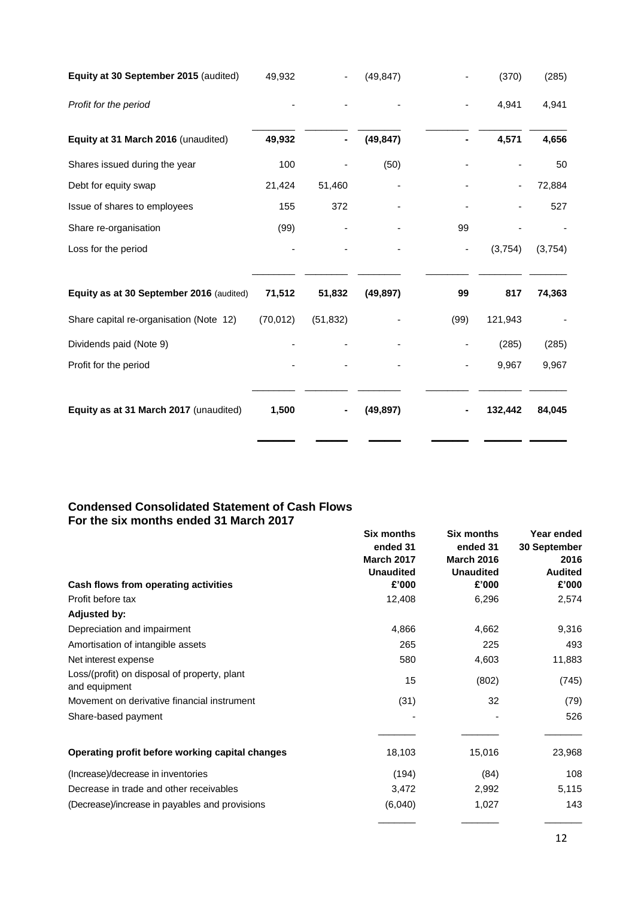| Equity at 30 September 2015 (audited)    | 49,932    |           | (49, 847) |      | (370)   | (285)   |
|------------------------------------------|-----------|-----------|-----------|------|---------|---------|
| Profit for the period                    |           |           |           |      | 4,941   | 4,941   |
| Equity at 31 March 2016 (unaudited)      | 49,932    |           | (49, 847) |      | 4,571   | 4,656   |
| Shares issued during the year            | 100       |           | (50)      |      |         | 50      |
| Debt for equity swap                     | 21,424    | 51,460    |           |      |         | 72,884  |
| Issue of shares to employees             | 155       | 372       |           |      |         | 527     |
| Share re-organisation                    | (99)      |           |           | 99   |         |         |
| Loss for the period                      |           |           |           |      | (3,754) | (3,754) |
| Equity as at 30 September 2016 (audited) | 71,512    | 51,832    | (49, 897) | 99   | 817     | 74,363  |
| Share capital re-organisation (Note 12)  | (70, 012) | (51, 832) |           | (99) | 121,943 |         |
| Dividends paid (Note 9)                  |           |           |           |      | (285)   | (285)   |
| Profit for the period                    |           |           |           |      | 9,967   | 9,967   |
| Equity as at 31 March 2017 (unaudited)   | 1,500     |           | (49, 897) |      | 132,442 | 84,045  |
|                                          |           |           |           |      |         |         |

# **Condensed Consolidated Statement of Cash Flows For the six months ended 31 March 2017**

|                                                               | <b>Six months</b><br>ended 31<br><b>March 2017</b><br><b>Unaudited</b> | <b>Six months</b><br>ended 31<br><b>March 2016</b><br><b>Unaudited</b> | Year ended<br>30 September<br>2016<br><b>Audited</b> |
|---------------------------------------------------------------|------------------------------------------------------------------------|------------------------------------------------------------------------|------------------------------------------------------|
| Cash flows from operating activities                          | £'000                                                                  | £'000                                                                  | £'000                                                |
| Profit before tax                                             | 12,408                                                                 | 6,296                                                                  | 2,574                                                |
| <b>Adjusted by:</b>                                           |                                                                        |                                                                        |                                                      |
| Depreciation and impairment                                   | 4,866                                                                  | 4,662                                                                  | 9,316                                                |
| Amortisation of intangible assets                             | 265                                                                    | 225                                                                    | 493                                                  |
| Net interest expense                                          | 580                                                                    | 4,603                                                                  | 11,883                                               |
| Loss/(profit) on disposal of property, plant<br>and equipment | 15                                                                     | (802)                                                                  | (745)                                                |
| Movement on derivative financial instrument                   | (31)                                                                   | 32                                                                     | (79)                                                 |
| Share-based payment                                           |                                                                        |                                                                        | 526                                                  |
| Operating profit before working capital changes               | 18,103                                                                 | 15,016                                                                 | 23,968                                               |
| (Increase)/decrease in inventories                            | (194)                                                                  | (84)                                                                   | 108                                                  |
| Decrease in trade and other receivables                       | 3,472                                                                  | 2,992                                                                  | 5,115                                                |
| (Decrease)/increase in payables and provisions                | (6,040)                                                                | 1,027                                                                  | 143                                                  |
|                                                               |                                                                        |                                                                        |                                                      |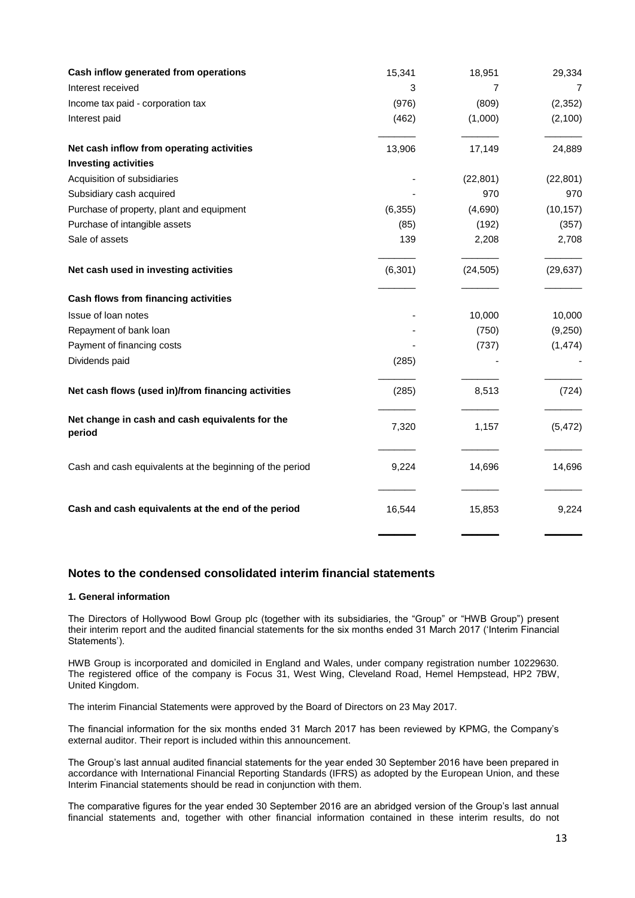| Cash inflow generated from operations                     | 15,341   | 18,951    | 29,334    |
|-----------------------------------------------------------|----------|-----------|-----------|
| Interest received                                         | 3        | 7         | 7         |
| Income tax paid - corporation tax                         | (976)    | (809)     | (2, 352)  |
| Interest paid                                             | (462)    | (1,000)   | (2,100)   |
| Net cash inflow from operating activities                 | 13,906   | 17,149    | 24,889    |
| <b>Investing activities</b>                               |          |           |           |
| Acquisition of subsidiaries                               |          | (22, 801) | (22, 801) |
| Subsidiary cash acquired                                  |          | 970       | 970       |
| Purchase of property, plant and equipment                 | (6, 355) | (4,690)   | (10, 157) |
| Purchase of intangible assets                             | (85)     | (192)     | (357)     |
| Sale of assets                                            | 139      | 2,208     | 2,708     |
| Net cash used in investing activities                     | (6, 301) | (24, 505) | (29, 637) |
| Cash flows from financing activities                      |          |           |           |
| Issue of loan notes                                       |          | 10,000    | 10,000    |
| Repayment of bank loan                                    |          | (750)     | (9,250)   |
| Payment of financing costs                                |          | (737)     | (1, 474)  |
| Dividends paid                                            | (285)    |           |           |
| Net cash flows (used in)/from financing activities        | (285)    | 8,513     | (724)     |
| Net change in cash and cash equivalents for the<br>period | 7,320    | 1,157     | (5, 472)  |
| Cash and cash equivalents at the beginning of the period  | 9,224    | 14,696    | 14,696    |
| Cash and cash equivalents at the end of the period        | 16,544   | 15,853    | 9,224     |

# **Notes to the condensed consolidated interim financial statements**

#### **1. General information**

The Directors of Hollywood Bowl Group plc (together with its subsidiaries, the "Group" or "HWB Group") present their interim report and the audited financial statements for the six months ended 31 March 2017 ('Interim Financial Statements').

HWB Group is incorporated and domiciled in England and Wales, under company registration number 10229630. The registered office of the company is Focus 31, West Wing, Cleveland Road, Hemel Hempstead, HP2 7BW, United Kingdom.

The interim Financial Statements were approved by the Board of Directors on 23 May 2017.

The financial information for the six months ended 31 March 2017 has been reviewed by KPMG, the Company's external auditor. Their report is included within this announcement.

The Group's last annual audited financial statements for the year ended 30 September 2016 have been prepared in accordance with International Financial Reporting Standards (IFRS) as adopted by the European Union, and these Interim Financial statements should be read in conjunction with them.

The comparative figures for the year ended 30 September 2016 are an abridged version of the Group's last annual financial statements and, together with other financial information contained in these interim results, do not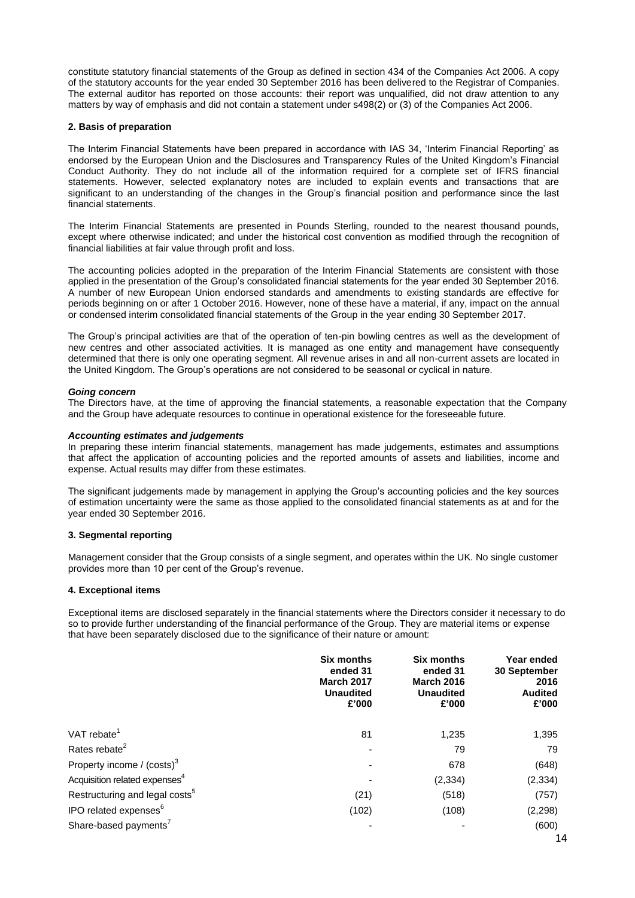constitute statutory financial statements of the Group as defined in section 434 of the Companies Act 2006. A copy of the statutory accounts for the year ended 30 September 2016 has been delivered to the Registrar of Companies. The external auditor has reported on those accounts: their report was unqualified, did not draw attention to any matters by way of emphasis and did not contain a statement under s498(2) or (3) of the Companies Act 2006.

#### **2. Basis of preparation**

The Interim Financial Statements have been prepared in accordance with IAS 34, 'Interim Financial Reporting' as endorsed by the European Union and the Disclosures and Transparency Rules of the United Kingdom's Financial Conduct Authority. They do not include all of the information required for a complete set of IFRS financial statements. However, selected explanatory notes are included to explain events and transactions that are significant to an understanding of the changes in the Group's financial position and performance since the last financial statements.

The Interim Financial Statements are presented in Pounds Sterling, rounded to the nearest thousand pounds, except where otherwise indicated; and under the historical cost convention as modified through the recognition of financial liabilities at fair value through profit and loss.

The accounting policies adopted in the preparation of the Interim Financial Statements are consistent with those applied in the presentation of the Group's consolidated financial statements for the year ended 30 September 2016. A number of new European Union endorsed standards and amendments to existing standards are effective for periods beginning on or after 1 October 2016. However, none of these have a material, if any, impact on the annual or condensed interim consolidated financial statements of the Group in the year ending 30 September 2017.

The Group's principal activities are that of the operation of ten-pin bowling centres as well as the development of new centres and other associated activities. It is managed as one entity and management have consequently determined that there is only one operating segment. All revenue arises in and all non-current assets are located in the United Kingdom. The Group's operations are not considered to be seasonal or cyclical in nature.

#### *Going concern*

The Directors have, at the time of approving the financial statements, a reasonable expectation that the Company and the Group have adequate resources to continue in operational existence for the foreseeable future.

#### *Accounting estimates and judgements*

In preparing these interim financial statements, management has made judgements, estimates and assumptions that affect the application of accounting policies and the reported amounts of assets and liabilities, income and expense. Actual results may differ from these estimates.

The significant judgements made by management in applying the Group's accounting policies and the key sources of estimation uncertainty were the same as those applied to the consolidated financial statements as at and for the year ended 30 September 2016.

#### **3. Segmental reporting**

Management consider that the Group consists of a single segment, and operates within the UK. No single customer provides more than 10 per cent of the Group's revenue.

#### **4. Exceptional items**

Exceptional items are disclosed separately in the financial statements where the Directors consider it necessary to do so to provide further understanding of the financial performance of the Group. They are material items or expense that have been separately disclosed due to the significance of their nature or amount:

|                                            | <b>Six months</b><br>ended 31<br><b>March 2017</b><br><b>Unaudited</b><br>£'000 | <b>Six months</b><br>ended 31<br><b>March 2016</b><br><b>Unaudited</b><br>£'000 | Year ended<br>30 September<br>2016<br><b>Audited</b><br>£'000 |
|--------------------------------------------|---------------------------------------------------------------------------------|---------------------------------------------------------------------------------|---------------------------------------------------------------|
| VAT rebate <sup>1</sup>                    | 81                                                                              | 1,235                                                                           | 1,395                                                         |
| Rates rebate <sup>2</sup>                  |                                                                                 | 79                                                                              | 79                                                            |
| Property income / (costs) <sup>3</sup>     |                                                                                 | 678                                                                             | (648)                                                         |
| Acquisition related expenses <sup>4</sup>  |                                                                                 | (2, 334)                                                                        | (2, 334)                                                      |
| Restructuring and legal costs <sup>5</sup> | (21)                                                                            | (518)                                                                           | (757)                                                         |
| IPO related expenses <sup>6</sup>          | (102)                                                                           | (108)                                                                           | (2, 298)                                                      |
| Share-based payments <sup>7</sup>          |                                                                                 |                                                                                 | (600)                                                         |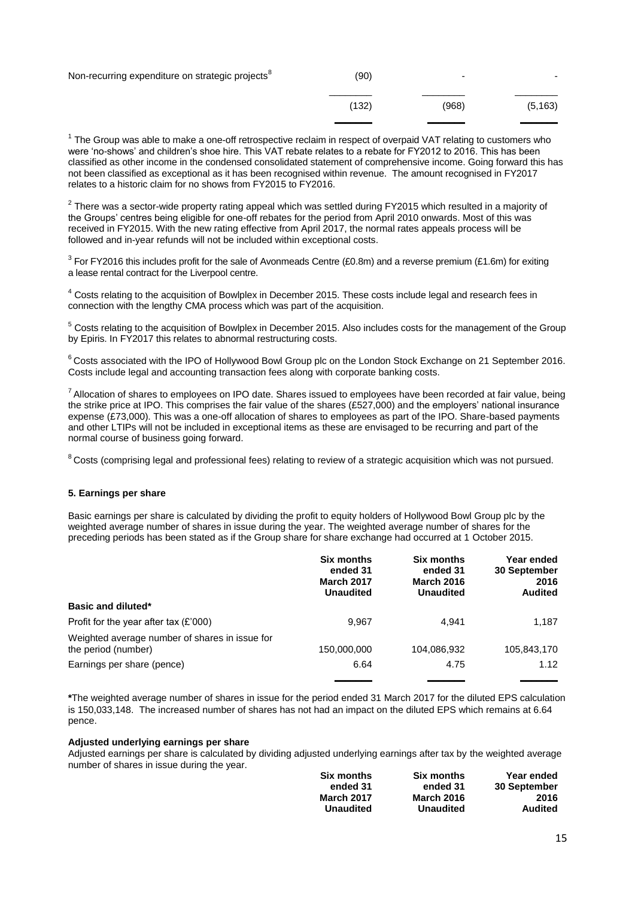| Non-recurring expenditure on strategic projects <sup>8</sup> | (90)  | -     |          |
|--------------------------------------------------------------|-------|-------|----------|
|                                                              | (132) | (968) | (5, 163) |

 $1$  The Group was able to make a one-off retrospective reclaim in respect of overpaid VAT relating to customers who were 'no-shows' and children's shoe hire. This VAT rebate relates to a rebate for FY2012 to 2016. This has been classified as other income in the condensed consolidated statement of comprehensive income. Going forward this has not been classified as exceptional as it has been recognised within revenue. The amount recognised in FY2017 relates to a historic claim for no shows from FY2015 to FY2016.

 $^2$  There was a sector-wide property rating appeal which was settled during FY2015 which resulted in a majority of the Groups' centres being eligible for one-off rebates for the period from April 2010 onwards. Most of this was received in FY2015. With the new rating effective from April 2017, the normal rates appeals process will be followed and in-year refunds will not be included within exceptional costs.

<sup>3</sup> For FY2016 this includes profit for the sale of Avonmeads Centre (£0.8m) and a reverse premium (£1.6m) for exiting a lease rental contract for the Liverpool centre.

<sup>4</sup> Costs relating to the acquisition of Bowlplex in December 2015. These costs include legal and research fees in connection with the lengthy CMA process which was part of the acquisition.

<sup>5</sup> Costs relating to the acquisition of Bowlplex in December 2015. Also includes costs for the management of the Group by Epiris. In FY2017 this relates to abnormal restructuring costs.

 $6$ Costs associated with the IPO of Hollywood Bowl Group plc on the London Stock Exchange on 21 September 2016. Costs include legal and accounting transaction fees along with corporate banking costs.

 $7$  Allocation of shares to employees on IPO date. Shares issued to employees have been recorded at fair value, being the strike price at IPO. This comprises the fair value of the shares (£527,000) and the employers' national insurance expense (£73,000). This was a one-off allocation of shares to employees as part of the IPO. Share-based payments and other LTIPs will not be included in exceptional items as these are envisaged to be recurring and part of the normal course of business going forward.

<sup>8</sup> Costs (comprising legal and professional fees) relating to review of a strategic acquisition which was not pursued.

#### **5. Earnings per share**

Basic earnings per share is calculated by dividing the profit to equity holders of Hollywood Bowl Group plc by the weighted average number of shares in issue during the year. The weighted average number of shares for the preceding periods has been stated as if the Group share for share exchange had occurred at 1 October 2015.

|                                                                       | <b>Six months</b><br>ended 31<br><b>March 2017</b><br><b>Unaudited</b> | Six months<br>ended 31<br><b>March 2016</b><br><b>Unaudited</b> | Year ended<br>30 September<br>2016<br><b>Audited</b> |
|-----------------------------------------------------------------------|------------------------------------------------------------------------|-----------------------------------------------------------------|------------------------------------------------------|
| Basic and diluted*                                                    |                                                                        |                                                                 |                                                      |
| Profit for the year after tax $(E'000)$                               | 9.967                                                                  | 4.941                                                           | 1.187                                                |
| Weighted average number of shares in issue for<br>the period (number) | 150,000,000                                                            | 104,086,932                                                     | 105,843,170                                          |
| Earnings per share (pence)                                            | 6.64                                                                   | 4.75                                                            | 1.12                                                 |
|                                                                       |                                                                        |                                                                 |                                                      |

**\***The weighted average number of shares in issue for the period ended 31 March 2017 for the diluted EPS calculation is 150,033,148. The increased number of shares has not had an impact on the diluted EPS which remains at 6.64 pence.

#### **Adjusted underlying earnings per share**

Adjusted earnings per share is calculated by dividing adjusted underlying earnings after tax by the weighted average number of shares in issue during the year.

| Six months        | <b>Six months</b> | Year ended     |
|-------------------|-------------------|----------------|
| ended 31          | ended 31          | 30 September   |
| <b>March 2017</b> | <b>March 2016</b> | 2016           |
| <b>Unaudited</b>  | <b>Unaudited</b>  | <b>Audited</b> |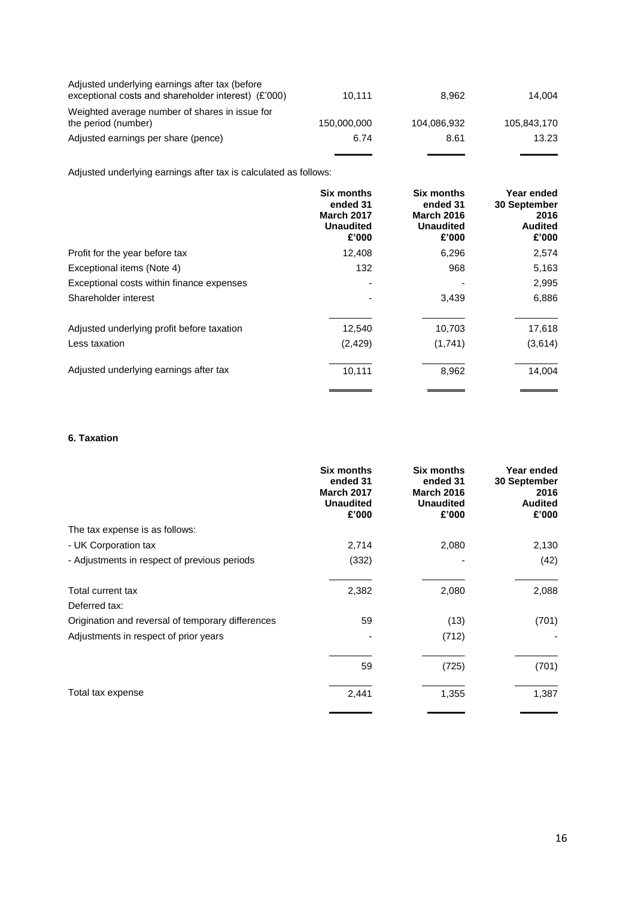| Adjusted underlying earnings after tax (before<br>exceptional costs and shareholder interest) (£'000) | 10.111      | 8.962       | 14.004      |
|-------------------------------------------------------------------------------------------------------|-------------|-------------|-------------|
| Weighted average number of shares in issue for<br>the period (number)                                 | 150,000,000 | 104,086,932 | 105.843.170 |
| Adjusted earnings per share (pence)                                                                   | 6.74        | 8.61        | 13.23       |
|                                                                                                       |             |             |             |

Adjusted underlying earnings after tax is calculated as follows:

|                                            | <b>Six months</b><br>ended 31<br><b>March 2017</b><br><b>Unaudited</b><br>£'000 | <b>Six months</b><br>ended 31<br><b>March 2016</b><br><b>Unaudited</b><br>£'000 | Year ended<br>30 September<br>2016<br><b>Audited</b><br>£'000 |
|--------------------------------------------|---------------------------------------------------------------------------------|---------------------------------------------------------------------------------|---------------------------------------------------------------|
| Profit for the year before tax             | 12,408                                                                          | 6,296                                                                           | 2,574                                                         |
| Exceptional items (Note 4)                 | 132                                                                             | 968                                                                             | 5,163                                                         |
| Exceptional costs within finance expenses  |                                                                                 |                                                                                 | 2,995                                                         |
| Shareholder interest                       |                                                                                 | 3,439                                                                           | 6,886                                                         |
| Adjusted underlying profit before taxation | 12,540                                                                          | 10,703                                                                          | 17,618                                                        |
| Less taxation                              | (2, 429)                                                                        | (1,741)                                                                         | (3,614)                                                       |
| Adjusted underlying earnings after tax     | 10,111                                                                          | 8,962                                                                           | 14,004                                                        |

# **6. Taxation**

|                                                   | <b>Six months</b><br>ended 31<br><b>March 2017</b><br><b>Unaudited</b><br>£'000 | Six months<br>ended 31<br><b>March 2016</b><br><b>Unaudited</b><br>£'000 | Year ended<br>30 September<br>2016<br><b>Audited</b><br>£'000 |
|---------------------------------------------------|---------------------------------------------------------------------------------|--------------------------------------------------------------------------|---------------------------------------------------------------|
| The tax expense is as follows:                    |                                                                                 |                                                                          |                                                               |
| - UK Corporation tax                              | 2,714                                                                           | 2,080                                                                    | 2,130                                                         |
| - Adjustments in respect of previous periods      | (332)                                                                           |                                                                          | (42)                                                          |
| Total current tax                                 | 2,382                                                                           | 2,080                                                                    | 2,088                                                         |
| Deferred tax:                                     |                                                                                 |                                                                          |                                                               |
| Origination and reversal of temporary differences | 59                                                                              | (13)                                                                     | (701)                                                         |
| Adjustments in respect of prior years             |                                                                                 | (712)                                                                    |                                                               |
|                                                   | 59                                                                              | (725)                                                                    | (701)                                                         |
| Total tax expense                                 | 2,441                                                                           | 1,355                                                                    | 1,387                                                         |
|                                                   |                                                                                 |                                                                          |                                                               |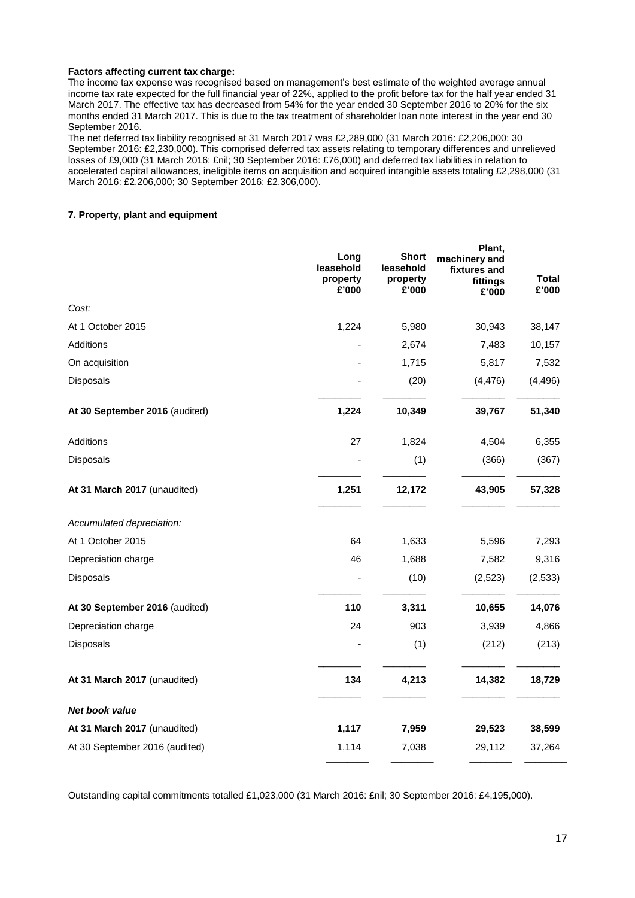#### **Factors affecting current tax charge:**

The income tax expense was recognised based on management's best estimate of the weighted average annual income tax rate expected for the full financial year of 22%, applied to the profit before tax for the half year ended 31 March 2017. The effective tax has decreased from 54% for the year ended 30 September 2016 to 20% for the six months ended 31 March 2017. This is due to the tax treatment of shareholder loan note interest in the year end 30 September 2016.

The net deferred tax liability recognised at 31 March 2017 was £2,289,000 (31 March 2016: £2,206,000; 30 September 2016: £2,230,000). This comprised deferred tax assets relating to temporary differences and unrelieved losses of £9,000 (31 March 2016: £nil; 30 September 2016: £76,000) and deferred tax liabilities in relation to accelerated capital allowances, ineligible items on acquisition and acquired intangible assets totaling £2,298,000 (31 March 2016: £2,206,000; 30 September 2016: £2,306,000).

#### **7. Property, plant and equipment**

|                                | Long<br>leasehold<br>property<br>£'000 | <b>Short</b><br>leasehold<br>property<br>£'000 | Plant,<br>machinery and<br>fixtures and<br>fittings<br>£'000 | Total<br>£'000 |
|--------------------------------|----------------------------------------|------------------------------------------------|--------------------------------------------------------------|----------------|
| Cost:                          |                                        |                                                |                                                              |                |
| At 1 October 2015              | 1,224                                  | 5,980                                          | 30,943                                                       | 38,147         |
| Additions                      |                                        | 2,674                                          | 7,483                                                        | 10,157         |
| On acquisition                 |                                        | 1,715                                          | 5,817                                                        | 7,532          |
| Disposals                      |                                        | (20)                                           | (4, 476)                                                     | (4, 496)       |
| At 30 September 2016 (audited) | 1,224                                  | 10,349                                         | 39,767                                                       | 51,340         |
| Additions                      | 27                                     | 1,824                                          | 4,504                                                        | 6,355          |
| Disposals                      |                                        | (1)                                            | (366)                                                        | (367)          |
| At 31 March 2017 (unaudited)   | 1,251                                  | 12,172                                         | 43,905                                                       | 57,328         |
| Accumulated depreciation:      |                                        |                                                |                                                              |                |
| At 1 October 2015              | 64                                     | 1,633                                          | 5,596                                                        | 7,293          |
| Depreciation charge            | 46                                     | 1,688                                          | 7,582                                                        | 9,316          |
| Disposals                      |                                        | (10)                                           | (2,523)                                                      | (2, 533)       |
| At 30 September 2016 (audited) | 110                                    | 3,311                                          | 10,655                                                       | 14,076         |
| Depreciation charge            | 24                                     | 903                                            | 3,939                                                        | 4,866          |
| Disposals                      |                                        | (1)                                            | (212)                                                        | (213)          |
| At 31 March 2017 (unaudited)   | 134                                    | 4,213                                          | 14,382                                                       | 18,729         |
| <b>Net book value</b>          |                                        |                                                |                                                              |                |
| At 31 March 2017 (unaudited)   | 1,117                                  | 7,959                                          | 29,523                                                       | 38,599         |
| At 30 September 2016 (audited) | 1,114                                  | 7,038                                          | 29,112                                                       | 37,264         |

Outstanding capital commitments totalled £1,023,000 (31 March 2016: £nil; 30 September 2016: £4,195,000).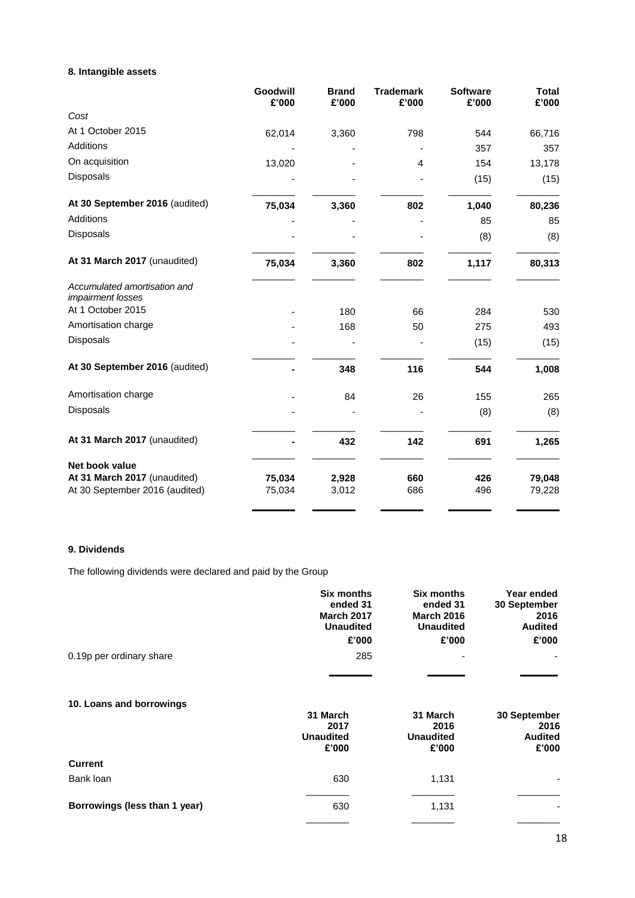# **8. Intangible assets**

|                                                   | Goodwill<br>£'000 | <b>Brand</b><br>£'000 | <b>Trademark</b><br>£'000 | <b>Software</b><br>£'000 | <b>Total</b><br>£'000 |
|---------------------------------------------------|-------------------|-----------------------|---------------------------|--------------------------|-----------------------|
| Cost                                              |                   |                       |                           |                          |                       |
| At 1 October 2015                                 | 62,014            | 3,360                 | 798                       | 544                      | 66,716                |
| Additions                                         |                   |                       |                           | 357                      | 357                   |
| On acquisition                                    | 13,020            |                       | 4                         | 154                      | 13,178                |
| Disposals                                         |                   |                       |                           | (15)                     | (15)                  |
| At 30 September 2016 (audited)                    | 75,034            | 3,360                 | 802                       | 1,040                    | 80,236                |
| <b>Additions</b>                                  |                   |                       |                           | 85                       | 85                    |
| Disposals                                         |                   |                       |                           | (8)                      | (8)                   |
| At 31 March 2017 (unaudited)                      | 75,034            | 3,360                 | 802                       | 1,117                    | 80,313                |
| Accumulated amortisation and<br>impairment losses |                   |                       |                           |                          |                       |
| At 1 October 2015                                 |                   | 180                   | 66                        | 284                      | 530                   |
| Amortisation charge                               |                   | 168                   | 50                        | 275                      | 493                   |
| Disposals                                         |                   |                       |                           | (15)                     | (15)                  |
| At 30 September 2016 (audited)                    |                   | 348                   | 116                       | 544                      | 1,008                 |
| Amortisation charge                               |                   | 84                    | 26                        | 155                      | 265                   |
| Disposals                                         |                   |                       |                           | (8)                      | (8)                   |
| At 31 March 2017 (unaudited)                      |                   | 432                   | 142                       | 691                      | 1,265                 |
| Net book value                                    |                   |                       |                           |                          |                       |
| At 31 March 2017 (unaudited)                      | 75,034            | 2,928                 | 660                       | 426                      | 79,048                |
| At 30 September 2016 (audited)                    | 75,034            | 3,012                 | 686                       | 496                      | 79,228                |

## **9. Dividends**

The following dividends were declared and paid by the Group

|                               | <b>Six months</b><br>ended 31<br><b>March 2017</b><br><b>Unaudited</b> | Six months<br>ended 31<br><b>March 2016</b><br><b>Unaudited</b> | Year ended<br>30 September<br>2016<br><b>Audited</b> |
|-------------------------------|------------------------------------------------------------------------|-----------------------------------------------------------------|------------------------------------------------------|
|                               | £'000                                                                  | £'000                                                           | £'000                                                |
| 0.19p per ordinary share      | 285                                                                    |                                                                 |                                                      |
|                               |                                                                        |                                                                 |                                                      |
| 10. Loans and borrowings      |                                                                        |                                                                 |                                                      |
|                               | 31 March                                                               | 31 March                                                        | 30 September                                         |
|                               | 2017<br><b>Unaudited</b>                                               | 2016<br><b>Unaudited</b>                                        | 2016<br><b>Audited</b>                               |
|                               | £'000                                                                  | £'000                                                           | £'000                                                |
| <b>Current</b>                |                                                                        |                                                                 |                                                      |
| Bank loan                     | 630                                                                    | 1,131                                                           |                                                      |
|                               |                                                                        |                                                                 |                                                      |
| Borrowings (less than 1 year) | 630                                                                    | 1,131                                                           |                                                      |
|                               |                                                                        |                                                                 |                                                      |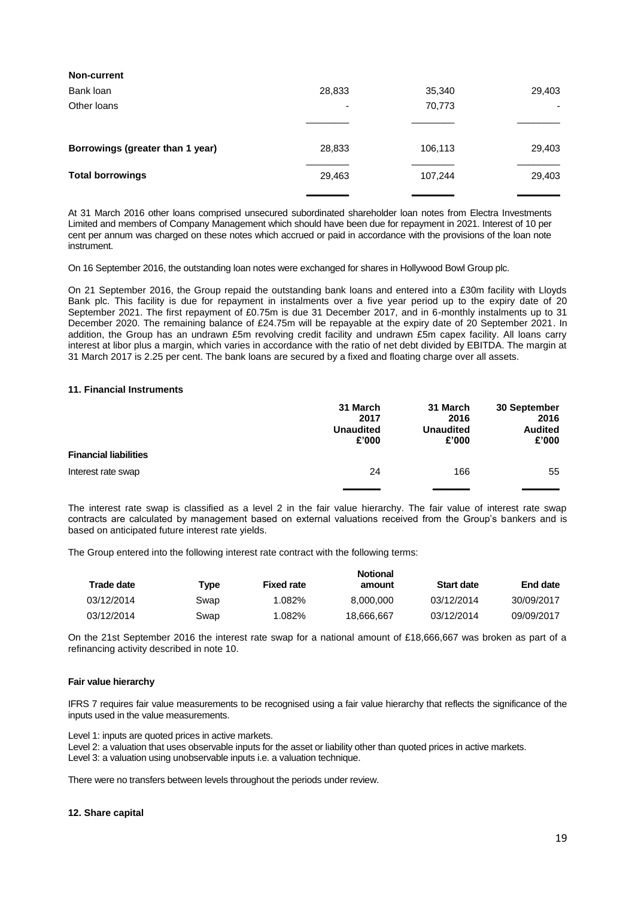| Non-current                      |        |         |        |
|----------------------------------|--------|---------|--------|
| Bank loan                        | 28,833 | 35,340  | 29,403 |
| Other loans                      | ٠      | 70,773  |        |
|                                  |        |         |        |
| Borrowings (greater than 1 year) | 28,833 | 106,113 | 29,403 |
| <b>Total borrowings</b>          | 29,463 | 107,244 | 29,403 |
|                                  |        |         |        |

At 31 March 2016 other loans comprised unsecured subordinated shareholder loan notes from Electra Investments Limited and members of Company Management which should have been due for repayment in 2021. Interest of 10 per cent per annum was charged on these notes which accrued or paid in accordance with the provisions of the loan note instrument.

On 16 September 2016, the outstanding loan notes were exchanged for shares in Hollywood Bowl Group plc.

On 21 September 2016, the Group repaid the outstanding bank loans and entered into a £30m facility with Lloyds Bank plc. This facility is due for repayment in instalments over a five year period up to the expiry date of 20 September 2021. The first repayment of £0.75m is due 31 December 2017, and in 6-monthly instalments up to 31 December 2020. The remaining balance of £24.75m will be repayable at the expiry date of 20 September 2021. In addition, the Group has an undrawn £5m revolving credit facility and undrawn £5m capex facility. All loans carry interest at libor plus a margin, which varies in accordance with the ratio of net debt divided by EBITDA. The margin at 31 March 2017 is 2.25 per cent. The bank loans are secured by a fixed and floating charge over all assets.

#### **11. Financial Instruments**

|                              | 31 March<br>2017<br><b>Unaudited</b><br>£'000 | 31 March<br>2016<br><b>Unaudited</b><br>£'000 | 30 September<br>2016<br><b>Audited</b><br>£'000 |
|------------------------------|-----------------------------------------------|-----------------------------------------------|-------------------------------------------------|
| <b>Financial liabilities</b> |                                               |                                               |                                                 |
| Interest rate swap           | 24                                            | 166                                           | 55                                              |
|                              |                                               |                                               |                                                 |

The interest rate swap is classified as a level 2 in the fair value hierarchy. The fair value of interest rate swap contracts are calculated by management based on external valuations received from the Group's bankers and is based on anticipated future interest rate yields.

The Group entered into the following interest rate contract with the following terms:

| Trade date |      |                   | <b>Notional</b> |                   |            |
|------------|------|-------------------|-----------------|-------------------|------------|
|            | Type | <b>Fixed rate</b> | amount          | <b>Start date</b> | End date   |
| 03/12/2014 | Swap | 1.082%            | 8.000.000       | 03/12/2014        | 30/09/2017 |
| 03/12/2014 | Swap | 1.082%            | 18.666.667      | 03/12/2014        | 09/09/2017 |

On the 21st September 2016 the interest rate swap for a national amount of £18,666,667 was broken as part of a refinancing activity described in note 10.

#### **Fair value hierarchy**

IFRS 7 requires fair value measurements to be recognised using a fair value hierarchy that reflects the significance of the inputs used in the value measurements.

Level 1: inputs are quoted prices in active markets.

Level 2: a valuation that uses observable inputs for the asset or liability other than quoted prices in active markets. Level 3: a valuation using unobservable inputs i.e. a valuation technique.

There were no transfers between levels throughout the periods under review.

#### **12. Share capital**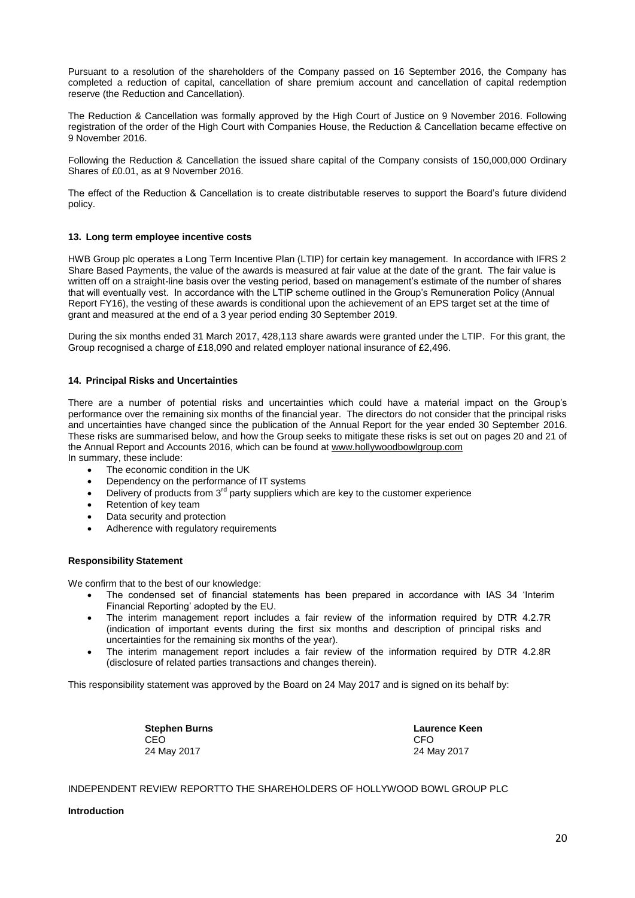Pursuant to a resolution of the shareholders of the Company passed on 16 September 2016, the Company has completed a reduction of capital, cancellation of share premium account and cancellation of capital redemption reserve (the Reduction and Cancellation).

The Reduction & Cancellation was formally approved by the High Court of Justice on 9 November 2016. Following registration of the order of the High Court with Companies House, the Reduction & Cancellation became effective on 9 November 2016.

Following the Reduction & Cancellation the issued share capital of the Company consists of 150,000,000 Ordinary Shares of £0.01, as at 9 November 2016.

The effect of the Reduction & Cancellation is to create distributable reserves to support the Board's future dividend policy.

#### **13. Long term employee incentive costs**

HWB Group plc operates a Long Term Incentive Plan (LTIP) for certain key management. In accordance with IFRS 2 Share Based Payments, the value of the awards is measured at fair value at the date of the grant. The fair value is written off on a straight-line basis over the vesting period, based on management's estimate of the number of shares that will eventually vest. In accordance with the LTIP scheme outlined in the Group's Remuneration Policy (Annual Report FY16), the vesting of these awards is conditional upon the achievement of an EPS target set at the time of grant and measured at the end of a 3 year period ending 30 September 2019.

During the six months ended 31 March 2017, 428,113 share awards were granted under the LTIP. For this grant, the Group recognised a charge of £18,090 and related employer national insurance of £2,496.

#### **14. Principal Risks and Uncertainties**

There are a number of potential risks and uncertainties which could have a material impact on the Group's performance over the remaining six months of the financial year. The directors do not consider that the principal risks and uncertainties have changed since the publication of the Annual Report for the year ended 30 September 2016. These risks are summarised below, and how the Group seeks to mitigate these risks is set out on pages 20 and 21 of the Annual Report and Accounts 2016, which can be found at [www.hollywoodbowlgroup.com](http://www.hollywoodbowlgroup.com/)

In summary, these include:

- The economic condition in the UK
- Dependency on the performance of IT systems
- Delivery of products from  $3<sup>rd</sup>$  party suppliers which are key to the customer experience
- Retention of key team
- Data security and protection
- Adherence with regulatory requirements

#### **Responsibility Statement**

We confirm that to the best of our knowledge:

- The condensed set of financial statements has been prepared in accordance with IAS 34 'Interim Financial Reporting' adopted by the EU.
- The interim management report includes a fair review of the information required by DTR 4.2.7R (indication of important events during the first six months and description of principal risks and uncertainties for the remaining six months of the year).
- The interim management report includes a fair review of the information required by DTR 4.2.8R (disclosure of related parties transactions and changes therein).

This responsibility statement was approved by the Board on 24 May 2017 and is signed on its behalf by:

**Stephen Burns Laurence Keen** CEO CEO CHE ANNO 1999, CHE ANNO 1999, CHE ANNO 1999, CHE ANNO 1999, CHE ANNO 1999, CHE ANNO 1999, CHE ANNO 199 24 May 2017 24 May 2017

INDEPENDENT REVIEW REPORTTO THE SHAREHOLDERS OF HOLLYWOOD BOWL GROUP PLC

#### **Introduction**